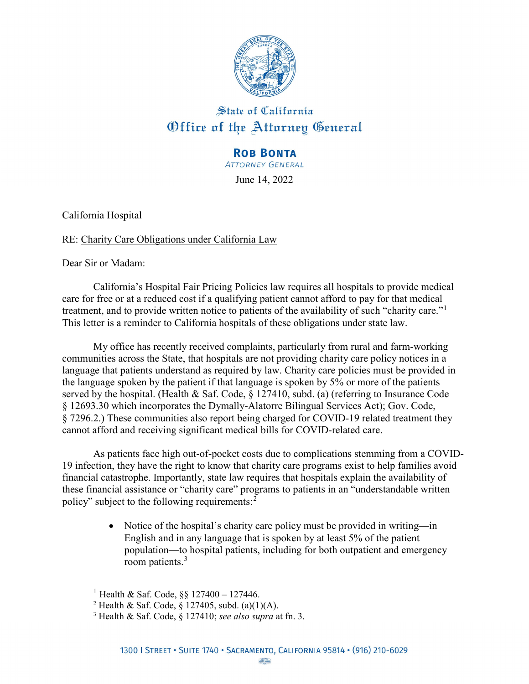

## State of California Office of the Attorney General

## **ROB BONTA**

**ATTORNEY GENERAL** 

June 14, 2022

California Hospital

## RE: Charity Care Obligations under California Law

Dear Sir or Madam:

<span id="page-0-2"></span><span id="page-0-1"></span><span id="page-0-0"></span> $\overline{a}$ 

California's Hospital Fair Pricing Policies law requires all hospitals to provide medical care for free or at a reduced cost if a qualifying patient cannot afford to pay for that medical treatment, and to provide written notice to patients of the availability of such "charity care."<sup>[1](#page-0-0)</sup> This letter is a reminder to California hospitals of these obligations under state law.

My office has recently received complaints, particularly from rural and farm-working communities across the State, that hospitals are not providing charity care policy notices in a language that patients understand as required by law. Charity care policies must be provided in the language spoken by the patient if that language is spoken by 5% or more of the patients served by the hospital. (Health & Saf. Code, § 127410, subd. (a) (referring to Insurance Code § 12693.30 which incorporates the Dymally-Alatorre Bilingual Services Act); Gov. Code, § 7296.2.) These communities also report being charged for COVID-19 related treatment they cannot afford and receiving significant medical bills for COVID-related care.

As patients face high out-of-pocket costs due to complications stemming from a COVID-19 infection, they have the right to know that charity care programs exist to help families avoid financial catastrophe. Importantly, state law requires that hospitals explain the availability of these financial assistance or "charity care" programs to patients in an "understandable written policy" subject to the following requirements:<sup>[2](#page-0-1)</sup>

> • Notice of the hospital's charity care policy must be provided in writing—in English and in any language that is spoken by at least 5% of the patient population—to hospital patients, including for both outpatient and emergency room patients.<sup>[3](#page-0-2)</sup>

<sup>&</sup>lt;sup>1</sup> Health & Saf. Code, §§ 127400 – 127446.

<sup>&</sup>lt;sup>2</sup> Health & Saf. Code,  $\S$  127405, subd. (a)(1)(A).

<sup>3</sup> Health & Saf. Code, § 127410; *see also supra* at fn. 3.